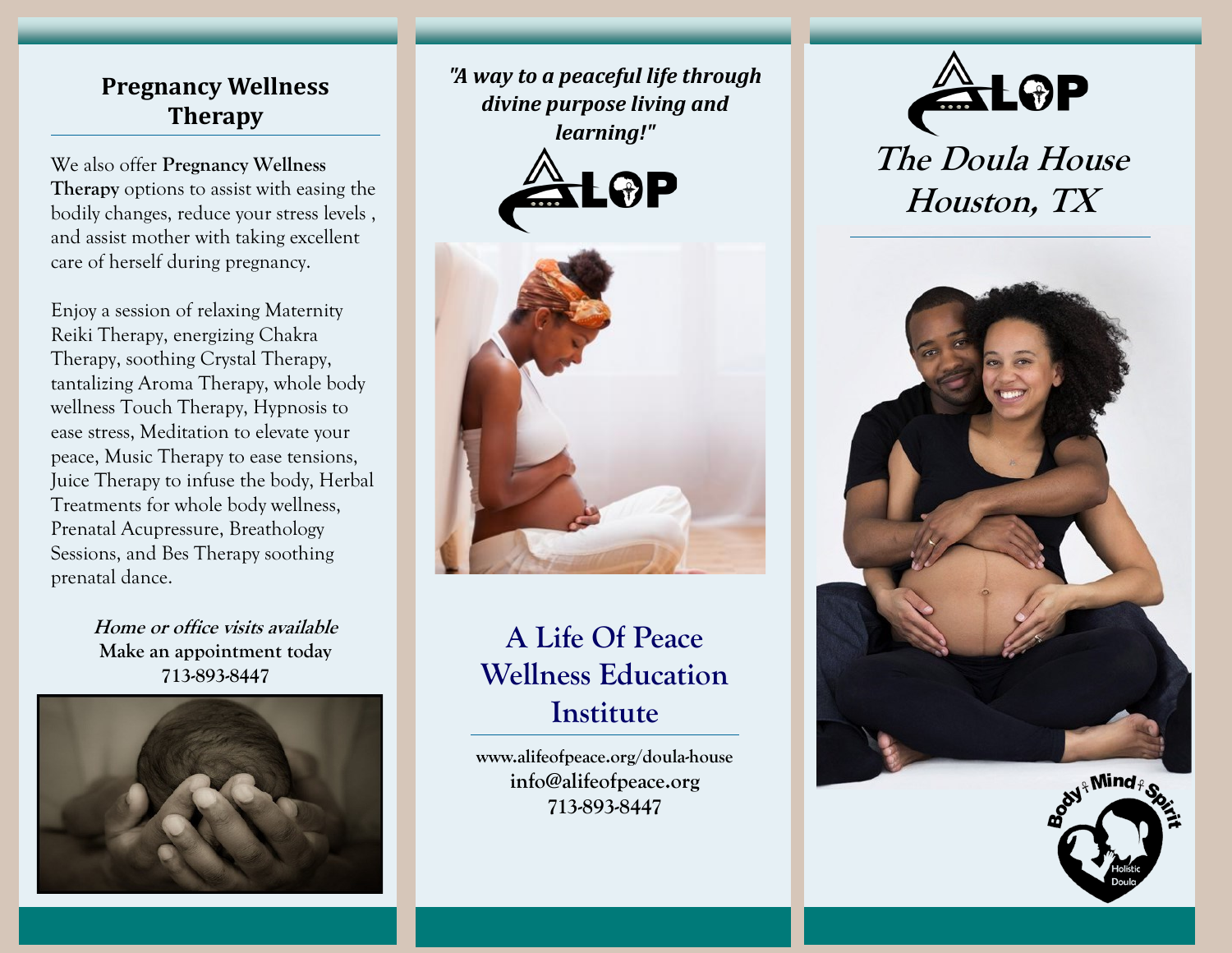## **Pregnancy Wellness Therapy**

We also offer **Pregnancy Wellness Therapy** options to assist with easing the bodily changes, reduce your stress levels , and assist mother with taking excellent care of herself during pregnancy.

Enjoy a session of relaxing Maternity Reiki Therapy, energizing Chakra Therapy, soothing Crystal Therapy, tantalizing Aroma Therapy, whole body wellness Touch Therapy, Hypnosis to ease stress, Meditation to elevate your peace, Music Therapy to ease tensions, Juice Therapy to infuse the body, Herbal Treatments for whole body wellness, Prenatal Acupressure, Breathology Sessions, and Bes Therapy soothing prenatal dance.

> **Home or office visits available Make an appointment today 713-893-8447**



*"A way to a peaceful life through divine purpose living and learning!"*





## **A Life Of Peace Wellness Education Institute**

**www.alifeofpeace.org/doula-house info@alifeofpeace.org 713-893-8447**